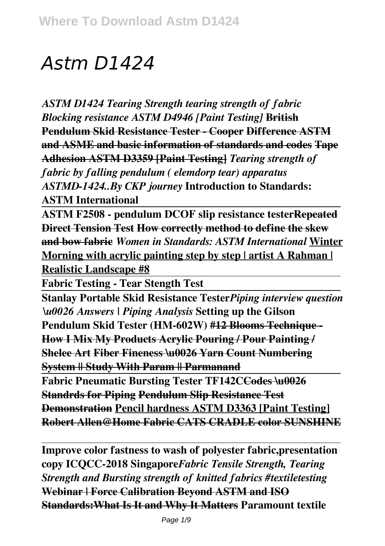# *Astm D1424*

*ASTM D1424 Tearing Strength tearing strength of fabric Blocking resistance ASTM D4946 [Paint Testing]* **British Pendulum Skid Resistance Tester - Cooper Difference ASTM and ASME and basic information of standards and codes Tape Adhesion ASTM D3359 [Paint Testing]** *Tearing strength of fabric by falling pendulum ( elemdorp tear) apparatus ASTMD-1424..By CKP journey* **Introduction to Standards: ASTM International**

**ASTM F2508 - pendulum DCOF slip resistance testerRepeated Direct Tension Test How correctly method to define the skew and bow fabric** *Women in Standards: ASTM International* **Winter Morning with acrylic painting step by step | artist A Rahman | Realistic Landscape #8**

**Fabric Testing - Tear Stength Test**

**Stanlay Portable Skid Resistance Tester***Piping interview question \u0026 Answers | Piping Analysis* **Setting up the Gilson Pendulum Skid Tester (HM-602W) #12 Blooms Technique - How I Mix My Products Acrylic Pouring / Pour Painting / Shelee Art Fiber Fineness \u0026 Yarn Count Numbering System || Study With Param || Parmanand**

**Fabric Pneumatic Bursting Tester TF142CCodes \u0026 Standrds for Piping Pendulum Slip Resistance Test Demonstration Pencil hardness ASTM D3363 [Paint Testing] Robert Allen@Home Fabric CATS CRADLE color SUNSHINE**

**Improve color fastness to wash of polyester fabric,presentation copy ICQCC-2018 Singapore***Fabric Tensile Strength, Tearing Strength and Bursting strength of knitted fabrics #textiletesting* **Webinar | Force Calibration Beyond ASTM and ISO Standards:What Is It and Why It Matters Paramount textile**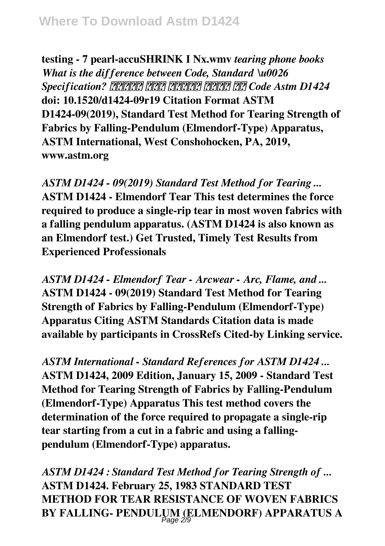**testing - 7 pearl-accuSHRINK I Nx.wmv** *tearing phone books What is the difference between Code, Standard \u0026 Specification? हिंदी में जानें क्या है Code Astm D1424* **doi: 10.1520/d1424-09r19 Citation Format ASTM D1424-09(2019), Standard Test Method for Tearing Strength of Fabrics by Falling-Pendulum (Elmendorf-Type) Apparatus, ASTM International, West Conshohocken, PA, 2019, www.astm.org**

*ASTM D1424 - 09(2019) Standard Test Method for Tearing ...* **ASTM D1424 - Elmendorf Tear This test determines the force required to produce a single-rip tear in most woven fabrics with a falling pendulum apparatus. (ASTM D1424 is also known as an Elmendorf test.) Get Trusted, Timely Test Results from Experienced Professionals**

*ASTM D1424 - Elmendorf Tear - Arcwear - Arc, Flame, and ...* **ASTM D1424 - 09(2019) Standard Test Method for Tearing Strength of Fabrics by Falling-Pendulum (Elmendorf-Type) Apparatus Citing ASTM Standards Citation data is made available by participants in CrossRefs Cited-by Linking service.**

*ASTM International - Standard References for ASTM D1424 ...* **ASTM D1424, 2009 Edition, January 15, 2009 - Standard Test Method for Tearing Strength of Fabrics by Falling-Pendulum (Elmendorf-Type) Apparatus This test method covers the determination of the force required to propagate a single-rip tear starting from a cut in a fabric and using a fallingpendulum (Elmendorf-Type) apparatus.**

*ASTM D1424 : Standard Test Method for Tearing Strength of ...* **ASTM D1424. February 25, 1983 STANDARD TEST METHOD FOR TEAR RESISTANCE OF WOVEN FABRICS** BY FALLING- PENDULUM (ELMENDORF) APPARATUS A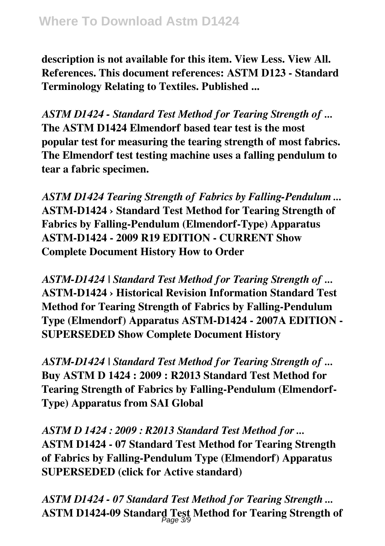**description is not available for this item. View Less. View All. References. This document references: ASTM D123 - Standard Terminology Relating to Textiles. Published ...**

*ASTM D1424 - Standard Test Method for Tearing Strength of ...* **The ASTM D1424 Elmendorf based tear test is the most popular test for measuring the tearing strength of most fabrics. The Elmendorf test testing machine uses a falling pendulum to tear a fabric specimen.**

*ASTM D1424 Tearing Strength of Fabrics by Falling-Pendulum ...* **ASTM-D1424 › Standard Test Method for Tearing Strength of Fabrics by Falling-Pendulum (Elmendorf-Type) Apparatus ASTM-D1424 - 2009 R19 EDITION - CURRENT Show Complete Document History How to Order**

*ASTM-D1424 | Standard Test Method for Tearing Strength of ...* **ASTM-D1424 › Historical Revision Information Standard Test Method for Tearing Strength of Fabrics by Falling-Pendulum Type (Elmendorf) Apparatus ASTM-D1424 - 2007A EDITION - SUPERSEDED Show Complete Document History**

*ASTM-D1424 | Standard Test Method for Tearing Strength of ...* **Buy ASTM D 1424 : 2009 : R2013 Standard Test Method for Tearing Strength of Fabrics by Falling-Pendulum (Elmendorf-Type) Apparatus from SAI Global**

*ASTM D 1424 : 2009 : R2013 Standard Test Method for ...* **ASTM D1424 - 07 Standard Test Method for Tearing Strength of Fabrics by Falling-Pendulum Type (Elmendorf) Apparatus SUPERSEDED (click for Active standard)**

*ASTM D1424 - 07 Standard Test Method for Tearing Strength ...* **ASTM D1424-09 Standard Test Method for Tearing Strength of** Page 3/9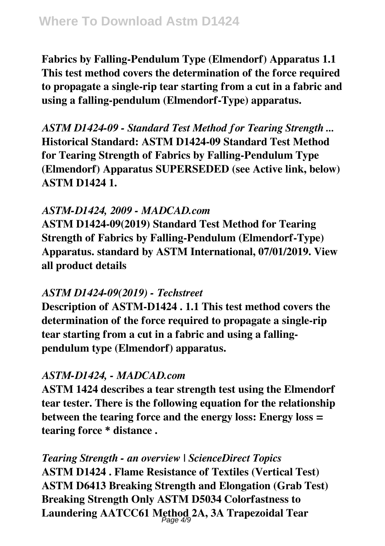**Fabrics by Falling-Pendulum Type (Elmendorf) Apparatus 1.1 This test method covers the determination of the force required to propagate a single-rip tear starting from a cut in a fabric and using a falling-pendulum (Elmendorf-Type) apparatus.**

*ASTM D1424-09 - Standard Test Method for Tearing Strength ...* **Historical Standard: ASTM D1424-09 Standard Test Method for Tearing Strength of Fabrics by Falling-Pendulum Type (Elmendorf) Apparatus SUPERSEDED (see Active link, below) ASTM D1424 1.**

# *ASTM-D1424, 2009 - MADCAD.com*

**ASTM D1424-09(2019) Standard Test Method for Tearing Strength of Fabrics by Falling-Pendulum (Elmendorf-Type) Apparatus. standard by ASTM International, 07/01/2019. View all product details**

# *ASTM D1424-09(2019) - Techstreet*

**Description of ASTM-D1424 . 1.1 This test method covers the determination of the force required to propagate a single-rip tear starting from a cut in a fabric and using a fallingpendulum type (Elmendorf) apparatus.**

# *ASTM-D1424, - MADCAD.com*

**ASTM 1424 describes a tear strength test using the Elmendorf tear tester. There is the following equation for the relationship between the tearing force and the energy loss: Energy loss = tearing force \* distance .**

*Tearing Strength - an overview | ScienceDirect Topics* **ASTM D1424 . Flame Resistance of Textiles (Vertical Test) ASTM D6413 Breaking Strength and Elongation (Grab Test) Breaking Strength Only ASTM D5034 Colorfastness to Laundering AATCC61 Method 2A, 3A Trapezoidal Tear** Page 4/9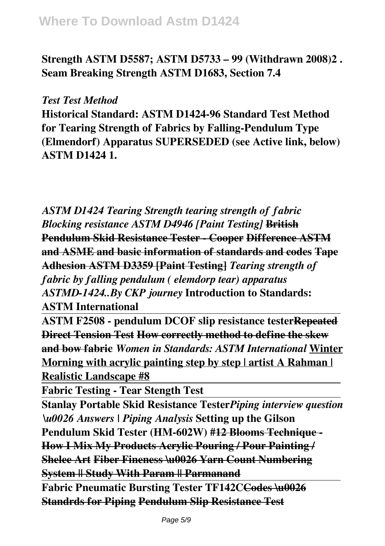**Strength ASTM D5587; ASTM D5733 – 99 (Withdrawn 2008)2 . Seam Breaking Strength ASTM D1683, Section 7.4**

#### *Test Test Method*

**Historical Standard: ASTM D1424-96 Standard Test Method for Tearing Strength of Fabrics by Falling-Pendulum Type (Elmendorf) Apparatus SUPERSEDED (see Active link, below) ASTM D1424 1.**

*ASTM D1424 Tearing Strength tearing strength of fabric Blocking resistance ASTM D4946 [Paint Testing]* **British Pendulum Skid Resistance Tester - Cooper Difference ASTM and ASME and basic information of standards and codes Tape Adhesion ASTM D3359 [Paint Testing]** *Tearing strength of fabric by falling pendulum ( elemdorp tear) apparatus ASTMD-1424..By CKP journey* **Introduction to Standards: ASTM International**

**ASTM F2508 - pendulum DCOF slip resistance testerRepeated Direct Tension Test How correctly method to define the skew and bow fabric** *Women in Standards: ASTM International* **Winter Morning with acrylic painting step by step | artist A Rahman | Realistic Landscape #8**

**Fabric Testing - Tear Stength Test**

**Stanlay Portable Skid Resistance Tester***Piping interview question \u0026 Answers | Piping Analysis* **Setting up the Gilson Pendulum Skid Tester (HM-602W) #12 Blooms Technique - How I Mix My Products Acrylic Pouring / Pour Painting / Shelee Art Fiber Fineness \u0026 Yarn Count Numbering System || Study With Param || Parmanand Fabric Pneumatic Bursting Tester TF142CCodes \u0026 Standrds for Piping Pendulum Slip Resistance Test**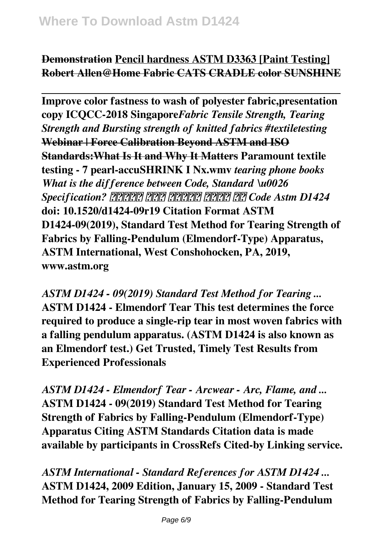## **Demonstration Pencil hardness ASTM D3363 [Paint Testing] Robert Allen@Home Fabric CATS CRADLE color SUNSHINE**

**Improve color fastness to wash of polyester fabric,presentation copy ICQCC-2018 Singapore***Fabric Tensile Strength, Tearing Strength and Bursting strength of knitted fabrics #textiletesting* **Webinar | Force Calibration Beyond ASTM and ISO Standards:What Is It and Why It Matters Paramount textile testing - 7 pearl-accuSHRINK I Nx.wmv** *tearing phone books What is the difference between Code, Standard \u0026 Specification? हिंदी में जानें क्या है Code Astm D1424* **doi: 10.1520/d1424-09r19 Citation Format ASTM D1424-09(2019), Standard Test Method for Tearing Strength of Fabrics by Falling-Pendulum (Elmendorf-Type) Apparatus, ASTM International, West Conshohocken, PA, 2019, www.astm.org**

*ASTM D1424 - 09(2019) Standard Test Method for Tearing ...* **ASTM D1424 - Elmendorf Tear This test determines the force required to produce a single-rip tear in most woven fabrics with a falling pendulum apparatus. (ASTM D1424 is also known as an Elmendorf test.) Get Trusted, Timely Test Results from Experienced Professionals**

*ASTM D1424 - Elmendorf Tear - Arcwear - Arc, Flame, and ...* **ASTM D1424 - 09(2019) Standard Test Method for Tearing Strength of Fabrics by Falling-Pendulum (Elmendorf-Type) Apparatus Citing ASTM Standards Citation data is made available by participants in CrossRefs Cited-by Linking service.**

*ASTM International - Standard References for ASTM D1424 ...* **ASTM D1424, 2009 Edition, January 15, 2009 - Standard Test Method for Tearing Strength of Fabrics by Falling-Pendulum**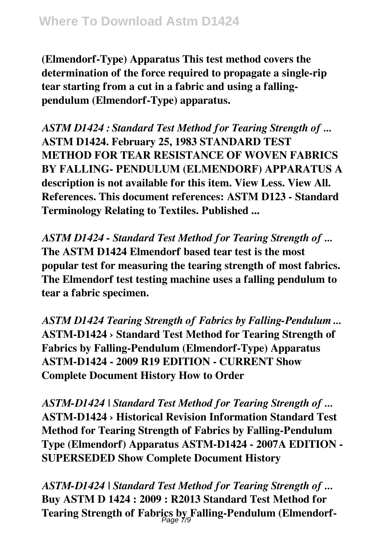**(Elmendorf-Type) Apparatus This test method covers the determination of the force required to propagate a single-rip tear starting from a cut in a fabric and using a fallingpendulum (Elmendorf-Type) apparatus.**

*ASTM D1424 : Standard Test Method for Tearing Strength of ...* **ASTM D1424. February 25, 1983 STANDARD TEST METHOD FOR TEAR RESISTANCE OF WOVEN FABRICS BY FALLING- PENDULUM (ELMENDORF) APPARATUS A description is not available for this item. View Less. View All. References. This document references: ASTM D123 - Standard Terminology Relating to Textiles. Published ...**

*ASTM D1424 - Standard Test Method for Tearing Strength of ...* **The ASTM D1424 Elmendorf based tear test is the most popular test for measuring the tearing strength of most fabrics. The Elmendorf test testing machine uses a falling pendulum to tear a fabric specimen.**

*ASTM D1424 Tearing Strength of Fabrics by Falling-Pendulum ...* **ASTM-D1424 › Standard Test Method for Tearing Strength of Fabrics by Falling-Pendulum (Elmendorf-Type) Apparatus ASTM-D1424 - 2009 R19 EDITION - CURRENT Show Complete Document History How to Order**

*ASTM-D1424 | Standard Test Method for Tearing Strength of ...* **ASTM-D1424 › Historical Revision Information Standard Test Method for Tearing Strength of Fabrics by Falling-Pendulum Type (Elmendorf) Apparatus ASTM-D1424 - 2007A EDITION - SUPERSEDED Show Complete Document History**

*ASTM-D1424 | Standard Test Method for Tearing Strength of ...* **Buy ASTM D 1424 : 2009 : R2013 Standard Test Method for Tearing Strength of Fabrics by Falling-Pendulum (Elmendorf-**Page 7/9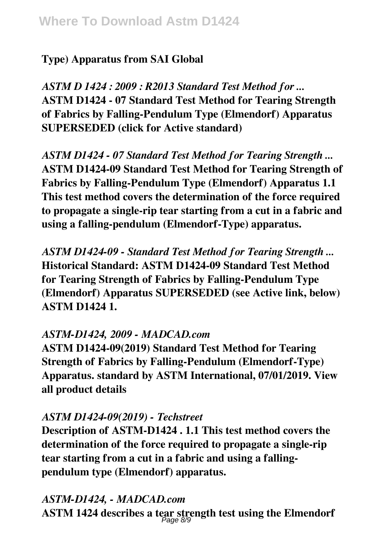# **Type) Apparatus from SAI Global**

*ASTM D 1424 : 2009 : R2013 Standard Test Method for ...* **ASTM D1424 - 07 Standard Test Method for Tearing Strength of Fabrics by Falling-Pendulum Type (Elmendorf) Apparatus SUPERSEDED (click for Active standard)**

*ASTM D1424 - 07 Standard Test Method for Tearing Strength ...* **ASTM D1424-09 Standard Test Method for Tearing Strength of Fabrics by Falling-Pendulum Type (Elmendorf) Apparatus 1.1 This test method covers the determination of the force required to propagate a single-rip tear starting from a cut in a fabric and using a falling-pendulum (Elmendorf-Type) apparatus.**

*ASTM D1424-09 - Standard Test Method for Tearing Strength ...* **Historical Standard: ASTM D1424-09 Standard Test Method for Tearing Strength of Fabrics by Falling-Pendulum Type (Elmendorf) Apparatus SUPERSEDED (see Active link, below) ASTM D1424 1.**

## *ASTM-D1424, 2009 - MADCAD.com*

**ASTM D1424-09(2019) Standard Test Method for Tearing Strength of Fabrics by Falling-Pendulum (Elmendorf-Type) Apparatus. standard by ASTM International, 07/01/2019. View all product details**

## *ASTM D1424-09(2019) - Techstreet*

**Description of ASTM-D1424 . 1.1 This test method covers the determination of the force required to propagate a single-rip tear starting from a cut in a fabric and using a fallingpendulum type (Elmendorf) apparatus.**

# *ASTM-D1424, - MADCAD.com*

**ASTM 1424 describes a tear strength test using the Elmendorf** Page 8/9